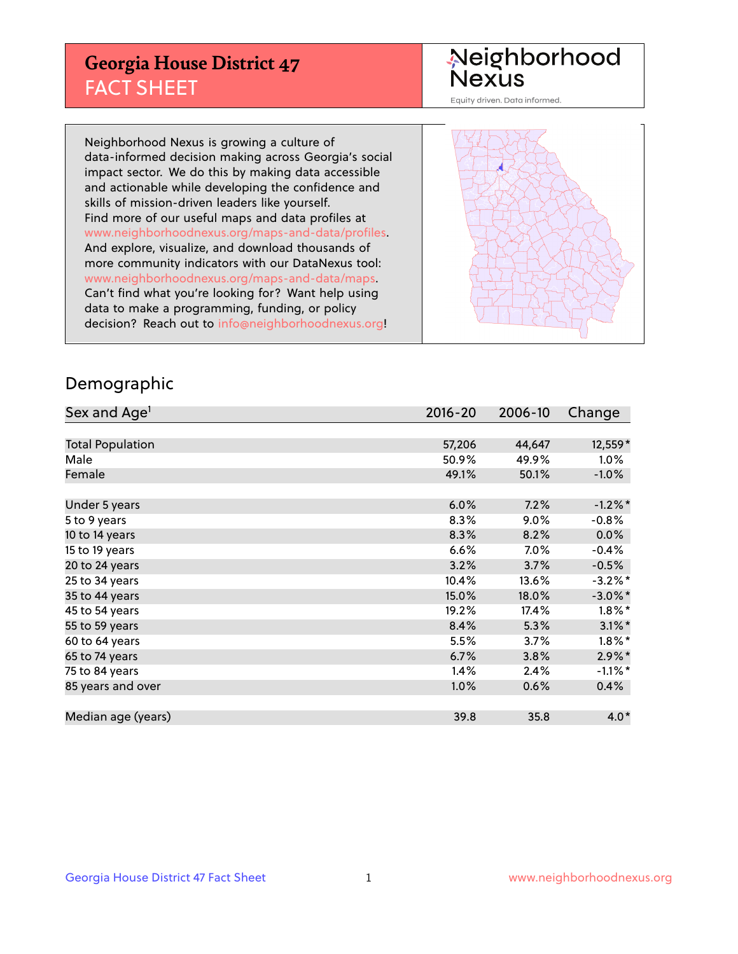## **Georgia House District 47** FACT SHEET

# Neighborhood<br>Nexus

Equity driven. Data informed.

Neighborhood Nexus is growing a culture of data-informed decision making across Georgia's social impact sector. We do this by making data accessible and actionable while developing the confidence and skills of mission-driven leaders like yourself. Find more of our useful maps and data profiles at www.neighborhoodnexus.org/maps-and-data/profiles. And explore, visualize, and download thousands of more community indicators with our DataNexus tool: www.neighborhoodnexus.org/maps-and-data/maps. Can't find what you're looking for? Want help using data to make a programming, funding, or policy decision? Reach out to [info@neighborhoodnexus.org!](mailto:info@neighborhoodnexus.org)



### Demographic

| Sex and Age <sup>1</sup> | $2016 - 20$ | 2006-10 | Change     |
|--------------------------|-------------|---------|------------|
|                          |             |         |            |
| <b>Total Population</b>  | 57,206      | 44,647  | 12,559*    |
| Male                     | 50.9%       | 49.9%   | $1.0\%$    |
| Female                   | 49.1%       | 50.1%   | $-1.0\%$   |
|                          |             |         |            |
| Under 5 years            | 6.0%        | 7.2%    | $-1.2%$ *  |
| 5 to 9 years             | 8.3%        | $9.0\%$ | $-0.8%$    |
| 10 to 14 years           | 8.3%        | 8.2%    | 0.0%       |
| 15 to 19 years           | 6.6%        | 7.0%    | $-0.4%$    |
| 20 to 24 years           | 3.2%        | 3.7%    | $-0.5%$    |
| 25 to 34 years           | 10.4%       | 13.6%   | $-3.2\%$ * |
| 35 to 44 years           | 15.0%       | 18.0%   | $-3.0\%$ * |
| 45 to 54 years           | 19.2%       | 17.4%   | $1.8\%$ *  |
| 55 to 59 years           | 8.4%        | 5.3%    | $3.1\%$ *  |
| 60 to 64 years           | 5.5%        | $3.7\%$ | $1.8\%$ *  |
| 65 to 74 years           | 6.7%        | 3.8%    | $2.9\%$ *  |
| 75 to 84 years           | 1.4%        | 2.4%    | $-1.1\%$ * |
| 85 years and over        | 1.0%        | 0.6%    | 0.4%       |
|                          |             |         |            |
| Median age (years)       | 39.8        | 35.8    | $4.0*$     |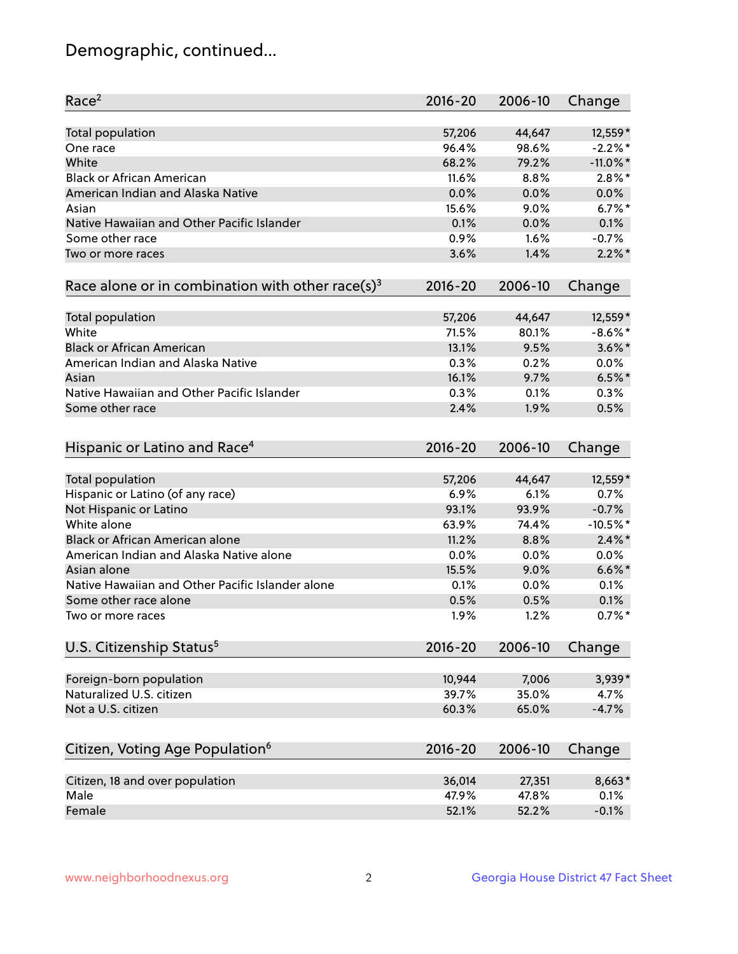## Demographic, continued...

| Race <sup>2</sup>                                            | $2016 - 20$ | 2006-10 | Change      |
|--------------------------------------------------------------|-------------|---------|-------------|
| Total population                                             | 57,206      | 44,647  | 12,559*     |
| One race                                                     | 96.4%       | 98.6%   | $-2.2%$ *   |
| White                                                        | 68.2%       | 79.2%   | $-11.0\%$ * |
| <b>Black or African American</b>                             | 11.6%       | 8.8%    | $2.8\%$ *   |
| American Indian and Alaska Native                            | 0.0%        | 0.0%    | 0.0%        |
| Asian                                                        | 15.6%       | 9.0%    | $6.7%$ *    |
| Native Hawaiian and Other Pacific Islander                   | 0.1%        | 0.0%    | 0.1%        |
| Some other race                                              | 0.9%        | 1.6%    | $-0.7%$     |
| Two or more races                                            | 3.6%        | 1.4%    | $2.2\%$ *   |
| Race alone or in combination with other race(s) <sup>3</sup> | $2016 - 20$ | 2006-10 | Change      |
|                                                              |             |         |             |
| Total population                                             | 57,206      | 44,647  | 12,559*     |
| White                                                        | 71.5%       | 80.1%   | $-8.6\%$ *  |
| <b>Black or African American</b>                             | 13.1%       | 9.5%    | $3.6\%$ *   |
| American Indian and Alaska Native                            | 0.3%        | 0.2%    | 0.0%        |
| Asian                                                        | 16.1%       | 9.7%    | $6.5%$ *    |
| Native Hawaiian and Other Pacific Islander                   | 0.3%        | 0.1%    | 0.3%        |
| Some other race                                              | 2.4%        | 1.9%    | 0.5%        |
|                                                              |             |         |             |
| Hispanic or Latino and Race <sup>4</sup>                     | $2016 - 20$ | 2006-10 | Change      |
| Total population                                             | 57,206      | 44,647  | 12,559*     |
| Hispanic or Latino (of any race)                             | 6.9%        | 6.1%    | 0.7%        |
| Not Hispanic or Latino                                       | 93.1%       | 93.9%   | $-0.7%$     |
| White alone                                                  | 63.9%       | 74.4%   | $-10.5%$ *  |
| Black or African American alone                              | 11.2%       | 8.8%    | $2.4\%$ *   |
| American Indian and Alaska Native alone                      | 0.0%        | 0.0%    | 0.0%        |
| Asian alone                                                  | 15.5%       | 9.0%    | $6.6\%$ *   |
| Native Hawaiian and Other Pacific Islander alone             | 0.1%        | 0.0%    | 0.1%        |
| Some other race alone                                        | 0.5%        | 0.5%    | 0.1%        |
| Two or more races                                            | 1.9%        | 1.2%    | $0.7\%$ *   |
| U.S. Citizenship Status <sup>5</sup>                         | $2016 - 20$ | 2006-10 | Change      |
|                                                              |             |         |             |
| Foreign-born population                                      | 10,944      | 7,006   | 3,939*      |
| Naturalized U.S. citizen                                     | 39.7%       | 35.0%   | 4.7%        |
| Not a U.S. citizen                                           | 60.3%       | 65.0%   | $-4.7%$     |
|                                                              |             |         |             |
| Citizen, Voting Age Population <sup>6</sup>                  | $2016 - 20$ | 2006-10 | Change      |
| Citizen, 18 and over population                              | 36,014      | 27,351  | 8,663*      |
| Male                                                         | 47.9%       | 47.8%   | 0.1%        |
| Female                                                       | 52.1%       | 52.2%   | $-0.1%$     |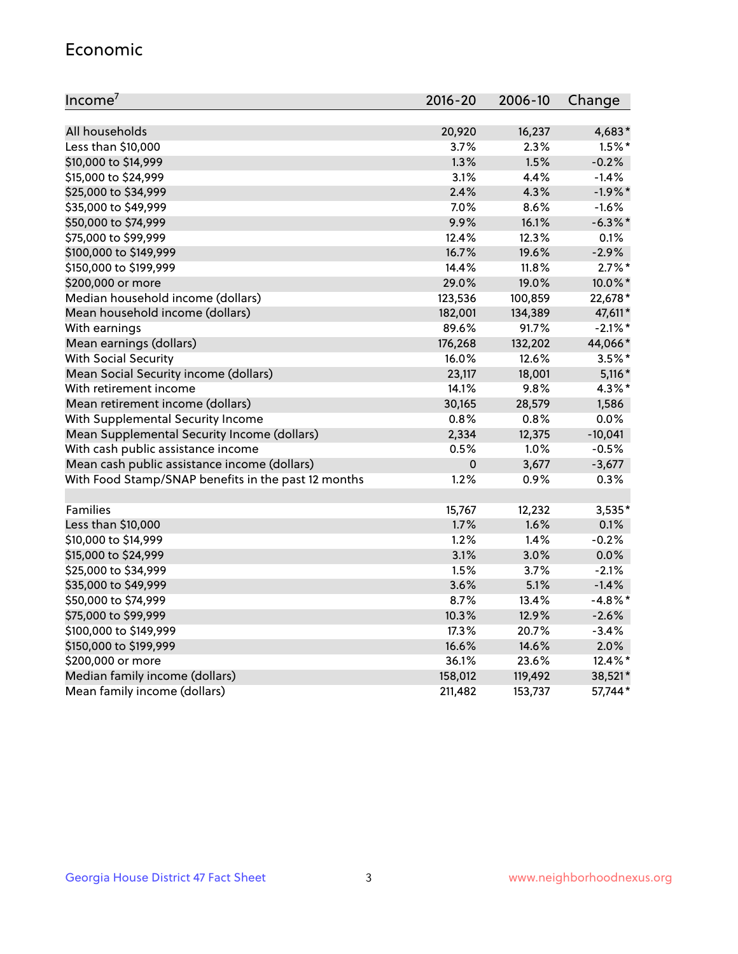#### Economic

| Income <sup>7</sup>                                 | $2016 - 20$ | 2006-10 | Change     |
|-----------------------------------------------------|-------------|---------|------------|
|                                                     |             |         |            |
| All households                                      | 20,920      | 16,237  | 4,683*     |
| Less than \$10,000                                  | 3.7%        | 2.3%    | $1.5\%$ *  |
| \$10,000 to \$14,999                                | 1.3%        | 1.5%    | $-0.2%$    |
| \$15,000 to \$24,999                                | 3.1%        | 4.4%    | $-1.4%$    |
| \$25,000 to \$34,999                                | 2.4%        | 4.3%    | $-1.9%$ *  |
| \$35,000 to \$49,999                                | 7.0%        | 8.6%    | $-1.6%$    |
| \$50,000 to \$74,999                                | 9.9%        | 16.1%   | $-6.3%$ *  |
| \$75,000 to \$99,999                                | 12.4%       | 12.3%   | 0.1%       |
| \$100,000 to \$149,999                              | 16.7%       | 19.6%   | $-2.9%$    |
| \$150,000 to \$199,999                              | 14.4%       | 11.8%   | $2.7\%$ *  |
| \$200,000 or more                                   | 29.0%       | 19.0%   | 10.0%*     |
| Median household income (dollars)                   | 123,536     | 100,859 | 22,678*    |
| Mean household income (dollars)                     | 182,001     | 134,389 | 47,611*    |
| With earnings                                       | 89.6%       | 91.7%   | $-2.1\%$ * |
| Mean earnings (dollars)                             | 176,268     | 132,202 | 44,066*    |
| <b>With Social Security</b>                         | 16.0%       | 12.6%   | $3.5%$ *   |
| Mean Social Security income (dollars)               | 23,117      | 18,001  | $5,116*$   |
| With retirement income                              | 14.1%       | 9.8%    | 4.3%*      |
| Mean retirement income (dollars)                    | 30,165      | 28,579  | 1,586      |
| With Supplemental Security Income                   | 0.8%        | 0.8%    | 0.0%       |
| Mean Supplemental Security Income (dollars)         | 2,334       | 12,375  | $-10,041$  |
| With cash public assistance income                  | 0.5%        | 1.0%    | $-0.5%$    |
| Mean cash public assistance income (dollars)        | $\mathbf 0$ | 3,677   | $-3,677$   |
| With Food Stamp/SNAP benefits in the past 12 months | 1.2%        | 0.9%    | 0.3%       |
|                                                     |             |         |            |
| Families                                            | 15,767      | 12,232  | 3,535*     |
| Less than \$10,000                                  | 1.7%        | 1.6%    | 0.1%       |
| \$10,000 to \$14,999                                | 1.2%        | 1.4%    | $-0.2%$    |
| \$15,000 to \$24,999                                | 3.1%        | 3.0%    | 0.0%       |
| \$25,000 to \$34,999                                | 1.5%        | 3.7%    | $-2.1%$    |
| \$35,000 to \$49,999                                | 3.6%        | 5.1%    | $-1.4%$    |
| \$50,000 to \$74,999                                | 8.7%        | 13.4%   | $-4.8\%$ * |
| \$75,000 to \$99,999                                | 10.3%       | 12.9%   | $-2.6%$    |
| \$100,000 to \$149,999                              | 17.3%       | 20.7%   | $-3.4%$    |
| \$150,000 to \$199,999                              | 16.6%       | 14.6%   | 2.0%       |
| \$200,000 or more                                   | 36.1%       | 23.6%   | 12.4%*     |
| Median family income (dollars)                      | 158,012     | 119,492 | 38,521*    |
| Mean family income (dollars)                        | 211,482     | 153,737 | 57,744*    |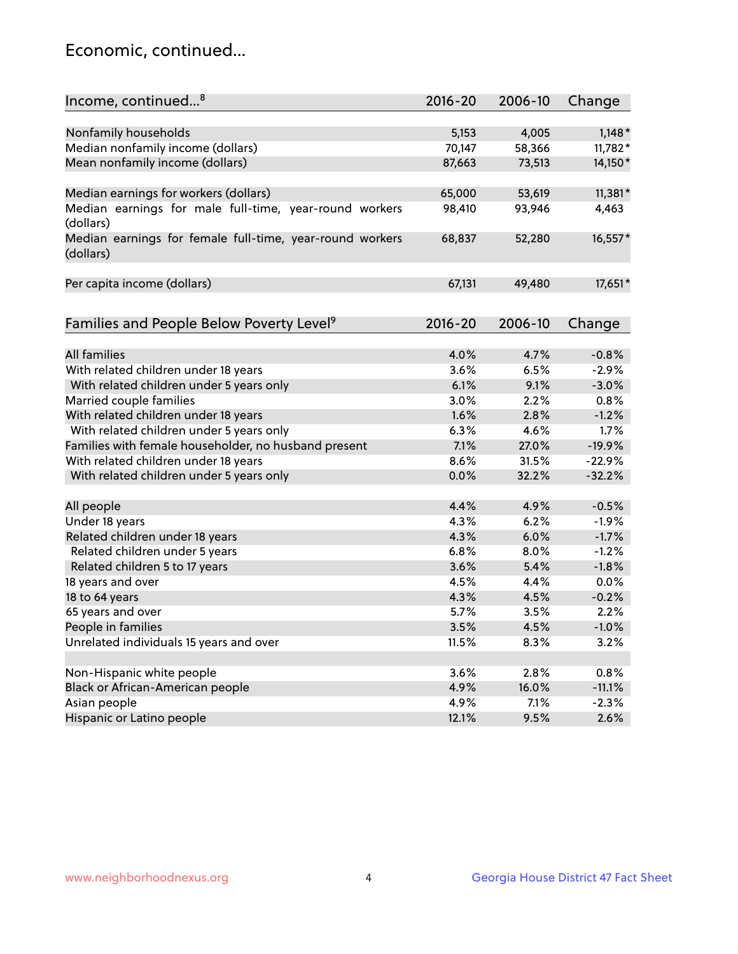## Economic, continued...

| Income, continued <sup>8</sup>                           | 2016-20 | 2006-10 | Change    |
|----------------------------------------------------------|---------|---------|-----------|
|                                                          |         |         |           |
| Nonfamily households                                     | 5,153   | 4,005   | $1,148*$  |
| Median nonfamily income (dollars)                        | 70,147  | 58,366  | 11,782*   |
| Mean nonfamily income (dollars)                          | 87,663  | 73,513  | 14,150*   |
|                                                          |         |         |           |
| Median earnings for workers (dollars)                    | 65,000  | 53,619  | $11,381*$ |
| Median earnings for male full-time, year-round workers   | 98,410  | 93,946  | 4,463     |
| (dollars)                                                |         |         |           |
| Median earnings for female full-time, year-round workers | 68,837  | 52,280  | 16,557*   |
| (dollars)                                                |         |         |           |
|                                                          |         |         |           |
| Per capita income (dollars)                              | 67,131  | 49,480  | 17,651*   |
|                                                          |         |         |           |
|                                                          | 2016-20 | 2006-10 |           |
| Families and People Below Poverty Level <sup>9</sup>     |         |         | Change    |
| <b>All families</b>                                      | 4.0%    | 4.7%    | $-0.8%$   |
| With related children under 18 years                     | 3.6%    | 6.5%    | $-2.9%$   |
| With related children under 5 years only                 | 6.1%    | 9.1%    | $-3.0%$   |
| Married couple families                                  | 3.0%    | 2.2%    | 0.8%      |
| With related children under 18 years                     | 1.6%    | 2.8%    | $-1.2%$   |
| With related children under 5 years only                 | 6.3%    | 4.6%    | 1.7%      |
| Families with female householder, no husband present     | 7.1%    | 27.0%   | $-19.9%$  |
| With related children under 18 years                     | 8.6%    | 31.5%   | $-22.9%$  |
|                                                          | 0.0%    | 32.2%   | $-32.2%$  |
| With related children under 5 years only                 |         |         |           |
| All people                                               | 4.4%    | 4.9%    | $-0.5%$   |
| Under 18 years                                           | 4.3%    | 6.2%    | $-1.9%$   |
| Related children under 18 years                          | 4.3%    | 6.0%    | $-1.7%$   |
| Related children under 5 years                           | 6.8%    | 8.0%    | $-1.2%$   |
| Related children 5 to 17 years                           | 3.6%    | 5.4%    | $-1.8%$   |
| 18 years and over                                        | 4.5%    | 4.4%    | 0.0%      |
| 18 to 64 years                                           | 4.3%    | 4.5%    | $-0.2%$   |
| 65 years and over                                        | 5.7%    | 3.5%    | 2.2%      |
| People in families                                       | 3.5%    | 4.5%    | $-1.0%$   |
| Unrelated individuals 15 years and over                  | 11.5%   | 8.3%    | 3.2%      |
|                                                          |         |         |           |
| Non-Hispanic white people                                | 3.6%    | 2.8%    | 0.8%      |
| Black or African-American people                         | 4.9%    | 16.0%   | $-11.1%$  |
| Asian people                                             | 4.9%    | 7.1%    | $-2.3%$   |
| Hispanic or Latino people                                | 12.1%   | 9.5%    | 2.6%      |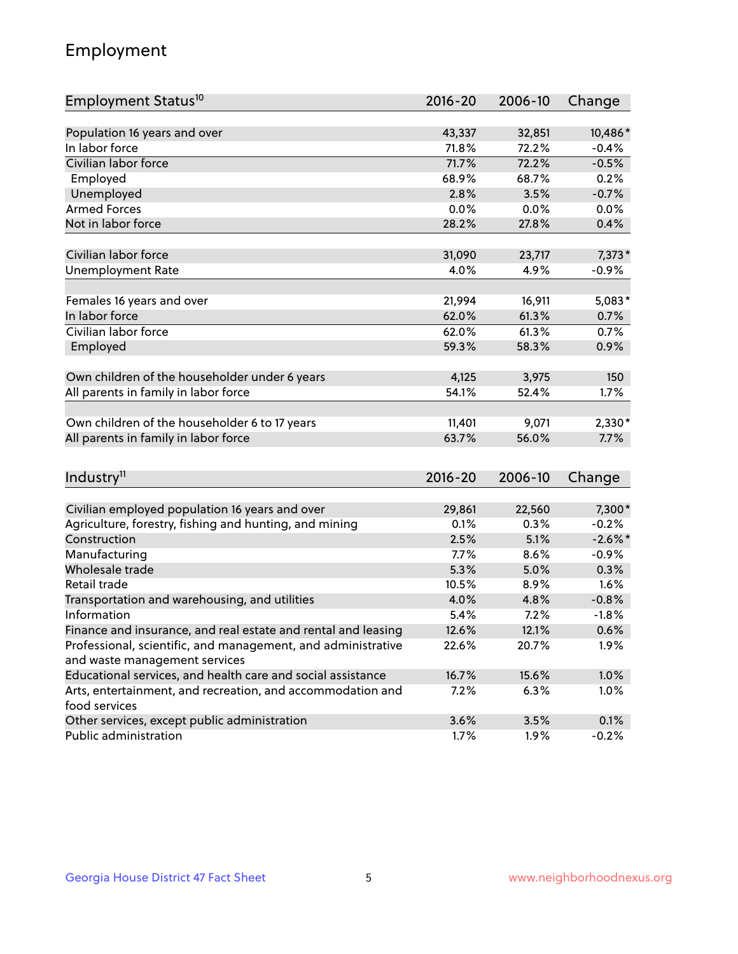## Employment

| Employment Status <sup>10</sup>                                                               | $2016 - 20$ | 2006-10 | Change     |
|-----------------------------------------------------------------------------------------------|-------------|---------|------------|
|                                                                                               |             |         |            |
| Population 16 years and over                                                                  | 43,337      | 32,851  | 10,486*    |
| In labor force                                                                                | 71.8%       | 72.2%   | $-0.4%$    |
| Civilian labor force                                                                          | 71.7%       | 72.2%   | $-0.5%$    |
| Employed                                                                                      | 68.9%       | 68.7%   | 0.2%       |
| Unemployed                                                                                    | 2.8%        | 3.5%    | $-0.7%$    |
| <b>Armed Forces</b>                                                                           | 0.0%        | 0.0%    | 0.0%       |
| Not in labor force                                                                            | 28.2%       | 27.8%   | 0.4%       |
|                                                                                               |             |         |            |
| Civilian labor force                                                                          | 31,090      | 23,717  | 7,373*     |
| <b>Unemployment Rate</b>                                                                      | 4.0%        | 4.9%    | $-0.9%$    |
| Females 16 years and over                                                                     | 21,994      | 16,911  | $5,083*$   |
| In labor force                                                                                | 62.0%       | 61.3%   | 0.7%       |
| Civilian labor force                                                                          | 62.0%       | 61.3%   | 0.7%       |
| Employed                                                                                      | 59.3%       | 58.3%   | 0.9%       |
|                                                                                               |             |         |            |
| Own children of the householder under 6 years                                                 | 4,125       | 3,975   | 150        |
| All parents in family in labor force                                                          | 54.1%       | 52.4%   | 1.7%       |
|                                                                                               |             |         |            |
| Own children of the householder 6 to 17 years                                                 | 11,401      | 9,071   | 2,330*     |
| All parents in family in labor force                                                          | 63.7%       | 56.0%   | 7.7%       |
|                                                                                               |             |         |            |
| Industry <sup>11</sup>                                                                        | $2016 - 20$ | 2006-10 | Change     |
|                                                                                               |             |         |            |
| Civilian employed population 16 years and over                                                | 29,861      | 22,560  | 7,300*     |
| Agriculture, forestry, fishing and hunting, and mining                                        | 0.1%        | 0.3%    | $-0.2%$    |
| Construction                                                                                  | 2.5%        | 5.1%    | $-2.6\%$ * |
| Manufacturing                                                                                 | 7.7%        | 8.6%    | $-0.9%$    |
| Wholesale trade                                                                               | 5.3%        | 5.0%    | 0.3%       |
| Retail trade                                                                                  | 10.5%       | 8.9%    | 1.6%       |
| Transportation and warehousing, and utilities                                                 | 4.0%        | 4.8%    | $-0.8%$    |
| Information                                                                                   | 5.4%        | 7.2%    | $-1.8%$    |
| Finance and insurance, and real estate and rental and leasing                                 | 12.6%       | 12.1%   | 0.6%       |
| Professional, scientific, and management, and administrative<br>and waste management services | 22.6%       | 20.7%   | $1.9\%$    |
| Educational services, and health care and social assistance                                   | 16.7%       | 15.6%   | 1.0%       |
| Arts, entertainment, and recreation, and accommodation and                                    | 7.2%        | 6.3%    | 1.0%       |
| food services                                                                                 |             |         |            |
| Other services, except public administration                                                  | 3.6%        | 3.5%    | 0.1%       |
| Public administration                                                                         | 1.7%        | 1.9%    | $-0.2%$    |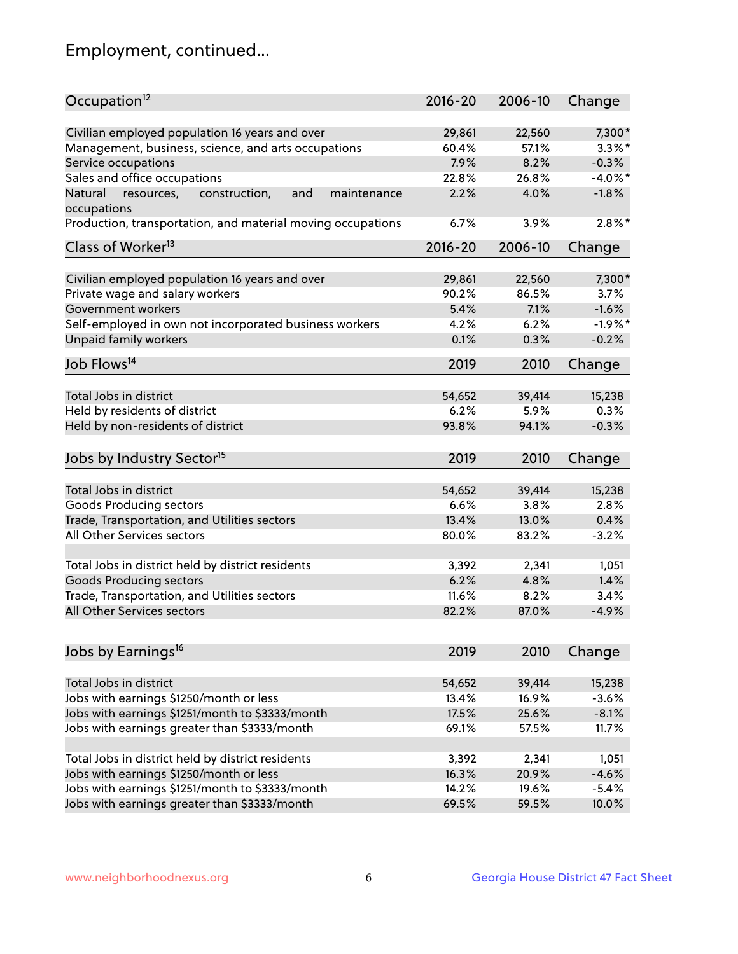## Employment, continued...

| Civilian employed population 16 years and over<br>7,300*<br>29,861<br>22,560<br>Management, business, science, and arts occupations<br>$3.3\%$ *<br>60.4%<br>57.1%<br>7.9%<br>$-0.3%$<br>Service occupations<br>8.2%<br>Sales and office occupations<br>$-4.0\%$ *<br>22.8%<br>26.8%<br>2.2%<br>4.0%<br>Natural<br>and<br>$-1.8%$<br>resources,<br>construction,<br>maintenance<br>occupations<br>$2.8\%$ *<br>Production, transportation, and material moving occupations<br>6.7%<br>3.9%<br>Class of Worker <sup>13</sup><br>$2016 - 20$<br>2006-10<br>Change<br>Civilian employed population 16 years and over<br>7,300*<br>29,861<br>22,560<br>Private wage and salary workers<br>86.5%<br>90.2%<br>3.7%<br>5.4%<br>7.1%<br>$-1.6%$<br>Government workers<br>Self-employed in own not incorporated business workers<br>$-1.9%$ *<br>4.2%<br>6.2%<br>Unpaid family workers<br>$-0.2%$<br>0.1%<br>0.3%<br>Job Flows <sup>14</sup><br>2019<br>2010<br>Change<br>Total Jobs in district<br>54,652<br>39,414<br>15,238<br>Held by residents of district<br>0.3%<br>6.2%<br>5.9%<br>Held by non-residents of district<br>$-0.3%$<br>93.8%<br>94.1%<br>Jobs by Industry Sector <sup>15</sup><br>2019<br>2010<br>Change<br>Total Jobs in district<br>54,652<br>39,414<br>15,238<br>Goods Producing sectors<br>6.6%<br>3.8%<br>2.8%<br>Trade, Transportation, and Utilities sectors<br>13.4%<br>13.0%<br>0.4%<br>All Other Services sectors<br>80.0%<br>83.2%<br>$-3.2%$<br>Total Jobs in district held by district residents<br>3,392<br>2,341<br>1,051<br><b>Goods Producing sectors</b><br>6.2%<br>4.8%<br>1.4%<br>Trade, Transportation, and Utilities sectors<br>11.6%<br>8.2%<br>3.4%<br>All Other Services sectors<br>82.2%<br>87.0%<br>$-4.9%$ | Occupation <sup>12</sup> | $2016 - 20$ | 2006-10 | Change |
|---------------------------------------------------------------------------------------------------------------------------------------------------------------------------------------------------------------------------------------------------------------------------------------------------------------------------------------------------------------------------------------------------------------------------------------------------------------------------------------------------------------------------------------------------------------------------------------------------------------------------------------------------------------------------------------------------------------------------------------------------------------------------------------------------------------------------------------------------------------------------------------------------------------------------------------------------------------------------------------------------------------------------------------------------------------------------------------------------------------------------------------------------------------------------------------------------------------------------------------------------------------------------------------------------------------------------------------------------------------------------------------------------------------------------------------------------------------------------------------------------------------------------------------------------------------------------------------------------------------------------------------------------------------------------------------------------------------------------------------------------|--------------------------|-------------|---------|--------|
|                                                                                                                                                                                                                                                                                                                                                                                                                                                                                                                                                                                                                                                                                                                                                                                                                                                                                                                                                                                                                                                                                                                                                                                                                                                                                                                                                                                                                                                                                                                                                                                                                                                                                                                                                   |                          |             |         |        |
|                                                                                                                                                                                                                                                                                                                                                                                                                                                                                                                                                                                                                                                                                                                                                                                                                                                                                                                                                                                                                                                                                                                                                                                                                                                                                                                                                                                                                                                                                                                                                                                                                                                                                                                                                   |                          |             |         |        |
|                                                                                                                                                                                                                                                                                                                                                                                                                                                                                                                                                                                                                                                                                                                                                                                                                                                                                                                                                                                                                                                                                                                                                                                                                                                                                                                                                                                                                                                                                                                                                                                                                                                                                                                                                   |                          |             |         |        |
|                                                                                                                                                                                                                                                                                                                                                                                                                                                                                                                                                                                                                                                                                                                                                                                                                                                                                                                                                                                                                                                                                                                                                                                                                                                                                                                                                                                                                                                                                                                                                                                                                                                                                                                                                   |                          |             |         |        |
|                                                                                                                                                                                                                                                                                                                                                                                                                                                                                                                                                                                                                                                                                                                                                                                                                                                                                                                                                                                                                                                                                                                                                                                                                                                                                                                                                                                                                                                                                                                                                                                                                                                                                                                                                   |                          |             |         |        |
|                                                                                                                                                                                                                                                                                                                                                                                                                                                                                                                                                                                                                                                                                                                                                                                                                                                                                                                                                                                                                                                                                                                                                                                                                                                                                                                                                                                                                                                                                                                                                                                                                                                                                                                                                   |                          |             |         |        |
|                                                                                                                                                                                                                                                                                                                                                                                                                                                                                                                                                                                                                                                                                                                                                                                                                                                                                                                                                                                                                                                                                                                                                                                                                                                                                                                                                                                                                                                                                                                                                                                                                                                                                                                                                   |                          |             |         |        |
|                                                                                                                                                                                                                                                                                                                                                                                                                                                                                                                                                                                                                                                                                                                                                                                                                                                                                                                                                                                                                                                                                                                                                                                                                                                                                                                                                                                                                                                                                                                                                                                                                                                                                                                                                   |                          |             |         |        |
|                                                                                                                                                                                                                                                                                                                                                                                                                                                                                                                                                                                                                                                                                                                                                                                                                                                                                                                                                                                                                                                                                                                                                                                                                                                                                                                                                                                                                                                                                                                                                                                                                                                                                                                                                   |                          |             |         |        |
|                                                                                                                                                                                                                                                                                                                                                                                                                                                                                                                                                                                                                                                                                                                                                                                                                                                                                                                                                                                                                                                                                                                                                                                                                                                                                                                                                                                                                                                                                                                                                                                                                                                                                                                                                   |                          |             |         |        |
|                                                                                                                                                                                                                                                                                                                                                                                                                                                                                                                                                                                                                                                                                                                                                                                                                                                                                                                                                                                                                                                                                                                                                                                                                                                                                                                                                                                                                                                                                                                                                                                                                                                                                                                                                   |                          |             |         |        |
|                                                                                                                                                                                                                                                                                                                                                                                                                                                                                                                                                                                                                                                                                                                                                                                                                                                                                                                                                                                                                                                                                                                                                                                                                                                                                                                                                                                                                                                                                                                                                                                                                                                                                                                                                   |                          |             |         |        |
|                                                                                                                                                                                                                                                                                                                                                                                                                                                                                                                                                                                                                                                                                                                                                                                                                                                                                                                                                                                                                                                                                                                                                                                                                                                                                                                                                                                                                                                                                                                                                                                                                                                                                                                                                   |                          |             |         |        |
|                                                                                                                                                                                                                                                                                                                                                                                                                                                                                                                                                                                                                                                                                                                                                                                                                                                                                                                                                                                                                                                                                                                                                                                                                                                                                                                                                                                                                                                                                                                                                                                                                                                                                                                                                   |                          |             |         |        |
|                                                                                                                                                                                                                                                                                                                                                                                                                                                                                                                                                                                                                                                                                                                                                                                                                                                                                                                                                                                                                                                                                                                                                                                                                                                                                                                                                                                                                                                                                                                                                                                                                                                                                                                                                   |                          |             |         |        |
|                                                                                                                                                                                                                                                                                                                                                                                                                                                                                                                                                                                                                                                                                                                                                                                                                                                                                                                                                                                                                                                                                                                                                                                                                                                                                                                                                                                                                                                                                                                                                                                                                                                                                                                                                   |                          |             |         |        |
|                                                                                                                                                                                                                                                                                                                                                                                                                                                                                                                                                                                                                                                                                                                                                                                                                                                                                                                                                                                                                                                                                                                                                                                                                                                                                                                                                                                                                                                                                                                                                                                                                                                                                                                                                   |                          |             |         |        |
|                                                                                                                                                                                                                                                                                                                                                                                                                                                                                                                                                                                                                                                                                                                                                                                                                                                                                                                                                                                                                                                                                                                                                                                                                                                                                                                                                                                                                                                                                                                                                                                                                                                                                                                                                   |                          |             |         |        |
|                                                                                                                                                                                                                                                                                                                                                                                                                                                                                                                                                                                                                                                                                                                                                                                                                                                                                                                                                                                                                                                                                                                                                                                                                                                                                                                                                                                                                                                                                                                                                                                                                                                                                                                                                   |                          |             |         |        |
|                                                                                                                                                                                                                                                                                                                                                                                                                                                                                                                                                                                                                                                                                                                                                                                                                                                                                                                                                                                                                                                                                                                                                                                                                                                                                                                                                                                                                                                                                                                                                                                                                                                                                                                                                   |                          |             |         |        |
|                                                                                                                                                                                                                                                                                                                                                                                                                                                                                                                                                                                                                                                                                                                                                                                                                                                                                                                                                                                                                                                                                                                                                                                                                                                                                                                                                                                                                                                                                                                                                                                                                                                                                                                                                   |                          |             |         |        |
|                                                                                                                                                                                                                                                                                                                                                                                                                                                                                                                                                                                                                                                                                                                                                                                                                                                                                                                                                                                                                                                                                                                                                                                                                                                                                                                                                                                                                                                                                                                                                                                                                                                                                                                                                   |                          |             |         |        |
|                                                                                                                                                                                                                                                                                                                                                                                                                                                                                                                                                                                                                                                                                                                                                                                                                                                                                                                                                                                                                                                                                                                                                                                                                                                                                                                                                                                                                                                                                                                                                                                                                                                                                                                                                   |                          |             |         |        |
|                                                                                                                                                                                                                                                                                                                                                                                                                                                                                                                                                                                                                                                                                                                                                                                                                                                                                                                                                                                                                                                                                                                                                                                                                                                                                                                                                                                                                                                                                                                                                                                                                                                                                                                                                   |                          |             |         |        |
|                                                                                                                                                                                                                                                                                                                                                                                                                                                                                                                                                                                                                                                                                                                                                                                                                                                                                                                                                                                                                                                                                                                                                                                                                                                                                                                                                                                                                                                                                                                                                                                                                                                                                                                                                   |                          |             |         |        |
|                                                                                                                                                                                                                                                                                                                                                                                                                                                                                                                                                                                                                                                                                                                                                                                                                                                                                                                                                                                                                                                                                                                                                                                                                                                                                                                                                                                                                                                                                                                                                                                                                                                                                                                                                   |                          |             |         |        |
|                                                                                                                                                                                                                                                                                                                                                                                                                                                                                                                                                                                                                                                                                                                                                                                                                                                                                                                                                                                                                                                                                                                                                                                                                                                                                                                                                                                                                                                                                                                                                                                                                                                                                                                                                   |                          |             |         |        |
|                                                                                                                                                                                                                                                                                                                                                                                                                                                                                                                                                                                                                                                                                                                                                                                                                                                                                                                                                                                                                                                                                                                                                                                                                                                                                                                                                                                                                                                                                                                                                                                                                                                                                                                                                   |                          |             |         |        |
|                                                                                                                                                                                                                                                                                                                                                                                                                                                                                                                                                                                                                                                                                                                                                                                                                                                                                                                                                                                                                                                                                                                                                                                                                                                                                                                                                                                                                                                                                                                                                                                                                                                                                                                                                   |                          |             |         |        |
|                                                                                                                                                                                                                                                                                                                                                                                                                                                                                                                                                                                                                                                                                                                                                                                                                                                                                                                                                                                                                                                                                                                                                                                                                                                                                                                                                                                                                                                                                                                                                                                                                                                                                                                                                   |                          |             |         |        |
| Jobs by Earnings <sup>16</sup><br>2019<br>2010<br>Change                                                                                                                                                                                                                                                                                                                                                                                                                                                                                                                                                                                                                                                                                                                                                                                                                                                                                                                                                                                                                                                                                                                                                                                                                                                                                                                                                                                                                                                                                                                                                                                                                                                                                          |                          |             |         |        |
|                                                                                                                                                                                                                                                                                                                                                                                                                                                                                                                                                                                                                                                                                                                                                                                                                                                                                                                                                                                                                                                                                                                                                                                                                                                                                                                                                                                                                                                                                                                                                                                                                                                                                                                                                   |                          |             |         |        |
| Total Jobs in district<br>54,652<br>39,414<br>15,238                                                                                                                                                                                                                                                                                                                                                                                                                                                                                                                                                                                                                                                                                                                                                                                                                                                                                                                                                                                                                                                                                                                                                                                                                                                                                                                                                                                                                                                                                                                                                                                                                                                                                              |                          |             |         |        |
| Jobs with earnings \$1250/month or less<br>13.4%<br>16.9%<br>$-3.6%$                                                                                                                                                                                                                                                                                                                                                                                                                                                                                                                                                                                                                                                                                                                                                                                                                                                                                                                                                                                                                                                                                                                                                                                                                                                                                                                                                                                                                                                                                                                                                                                                                                                                              |                          |             |         |        |
| Jobs with earnings \$1251/month to \$3333/month<br>17.5%<br>25.6%<br>$-8.1%$                                                                                                                                                                                                                                                                                                                                                                                                                                                                                                                                                                                                                                                                                                                                                                                                                                                                                                                                                                                                                                                                                                                                                                                                                                                                                                                                                                                                                                                                                                                                                                                                                                                                      |                          |             |         |        |
| Jobs with earnings greater than \$3333/month<br>69.1%<br>11.7%<br>57.5%                                                                                                                                                                                                                                                                                                                                                                                                                                                                                                                                                                                                                                                                                                                                                                                                                                                                                                                                                                                                                                                                                                                                                                                                                                                                                                                                                                                                                                                                                                                                                                                                                                                                           |                          |             |         |        |
| Total Jobs in district held by district residents<br>3,392<br>2,341<br>1,051                                                                                                                                                                                                                                                                                                                                                                                                                                                                                                                                                                                                                                                                                                                                                                                                                                                                                                                                                                                                                                                                                                                                                                                                                                                                                                                                                                                                                                                                                                                                                                                                                                                                      |                          |             |         |        |
| Jobs with earnings \$1250/month or less<br>20.9%<br>$-4.6%$<br>16.3%                                                                                                                                                                                                                                                                                                                                                                                                                                                                                                                                                                                                                                                                                                                                                                                                                                                                                                                                                                                                                                                                                                                                                                                                                                                                                                                                                                                                                                                                                                                                                                                                                                                                              |                          |             |         |        |
| Jobs with earnings \$1251/month to \$3333/month<br>14.2%<br>19.6%<br>$-5.4%$                                                                                                                                                                                                                                                                                                                                                                                                                                                                                                                                                                                                                                                                                                                                                                                                                                                                                                                                                                                                                                                                                                                                                                                                                                                                                                                                                                                                                                                                                                                                                                                                                                                                      |                          |             |         |        |
| Jobs with earnings greater than \$3333/month<br>69.5%<br>10.0%<br>59.5%                                                                                                                                                                                                                                                                                                                                                                                                                                                                                                                                                                                                                                                                                                                                                                                                                                                                                                                                                                                                                                                                                                                                                                                                                                                                                                                                                                                                                                                                                                                                                                                                                                                                           |                          |             |         |        |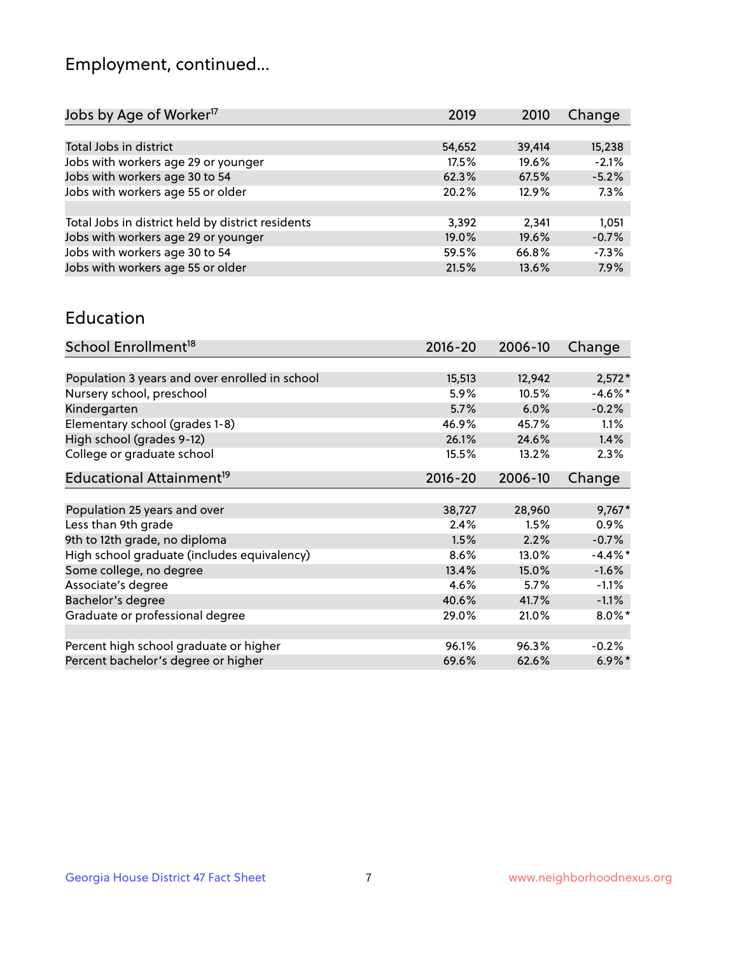## Employment, continued...

| Jobs by Age of Worker <sup>17</sup>               | 2019   | 2010   | Change  |
|---------------------------------------------------|--------|--------|---------|
|                                                   |        |        |         |
| Total Jobs in district                            | 54,652 | 39,414 | 15,238  |
| Jobs with workers age 29 or younger               | 17.5%  | 19.6%  | $-2.1%$ |
| Jobs with workers age 30 to 54                    | 62.3%  | 67.5%  | $-5.2%$ |
| Jobs with workers age 55 or older                 | 20.2%  | 12.9%  | 7.3%    |
|                                                   |        |        |         |
| Total Jobs in district held by district residents | 3,392  | 2,341  | 1,051   |
| Jobs with workers age 29 or younger               | 19.0%  | 19.6%  | $-0.7%$ |
| Jobs with workers age 30 to 54                    | 59.5%  | 66.8%  | $-7.3%$ |
| Jobs with workers age 55 or older                 | 21.5%  | 13.6%  | 7.9%    |
|                                                   |        |        |         |

#### Education

| School Enrollment <sup>18</sup>                | $2016 - 20$ | 2006-10 | Change     |
|------------------------------------------------|-------------|---------|------------|
|                                                |             |         |            |
| Population 3 years and over enrolled in school | 15,513      | 12,942  | $2,572*$   |
| Nursery school, preschool                      | 5.9%        | 10.5%   | $-4.6\%$ * |
| Kindergarten                                   | 5.7%        | 6.0%    | $-0.2%$    |
| Elementary school (grades 1-8)                 | 46.9%       | 45.7%   | 1.1%       |
| High school (grades 9-12)                      | 26.1%       | 24.6%   | 1.4%       |
| College or graduate school                     | 15.5%       | 13.2%   | $2.3\%$    |
| Educational Attainment <sup>19</sup>           | $2016 - 20$ | 2006-10 | Change     |
|                                                |             |         |            |
| Population 25 years and over                   | 38,727      | 28,960  | $9,767*$   |
| Less than 9th grade                            | 2.4%        | 1.5%    | $0.9\%$    |
| 9th to 12th grade, no diploma                  | 1.5%        | 2.2%    | $-0.7%$    |
| High school graduate (includes equivalency)    | 8.6%        | 13.0%   | $-4.4\%$ * |
| Some college, no degree                        | 13.4%       | 15.0%   | $-1.6%$    |
| Associate's degree                             | 4.6%        | 5.7%    | $-1.1\%$   |
| Bachelor's degree                              | 40.6%       | 41.7%   | $-1.1%$    |
| Graduate or professional degree                | 29.0%       | 21.0%   | $8.0\%$ *  |
|                                                |             |         |            |
| Percent high school graduate or higher         | 96.1%       | 96.3%   | $-0.2%$    |
| Percent bachelor's degree or higher            | 69.6%       | 62.6%   | $6.9\%$    |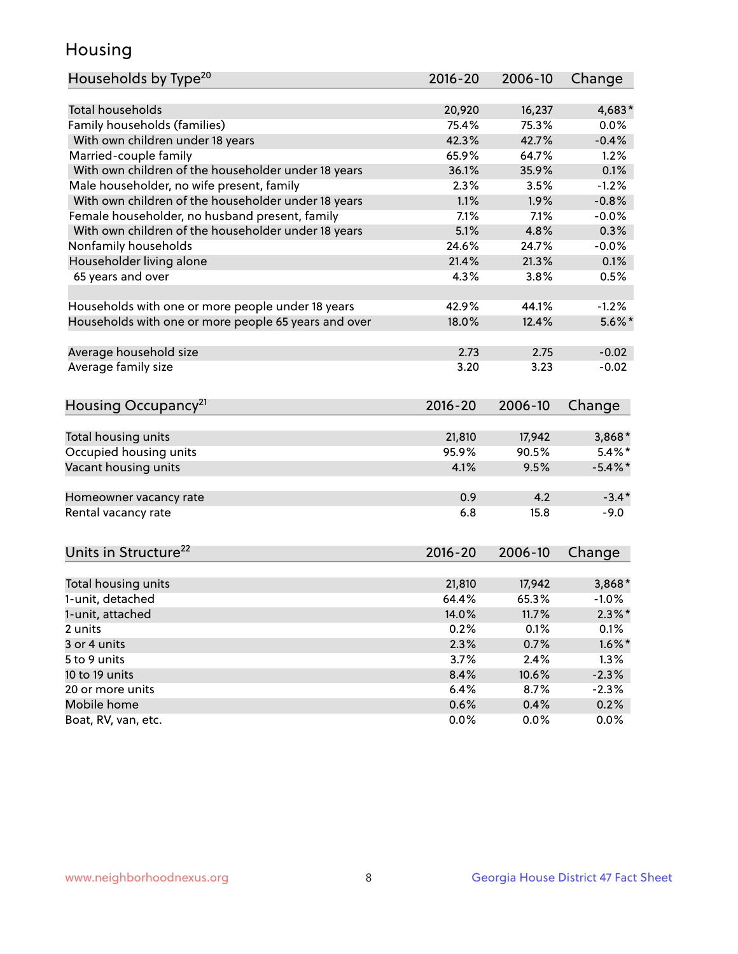## Housing

| Households by Type <sup>20</sup>                     | 2016-20     | 2006-10 | Change     |
|------------------------------------------------------|-------------|---------|------------|
|                                                      |             |         |            |
| <b>Total households</b>                              | 20,920      | 16,237  | 4,683*     |
| Family households (families)                         | 75.4%       | 75.3%   | 0.0%       |
| With own children under 18 years                     | 42.3%       | 42.7%   | $-0.4%$    |
| Married-couple family                                | 65.9%       | 64.7%   | 1.2%       |
| With own children of the householder under 18 years  | 36.1%       | 35.9%   | 0.1%       |
| Male householder, no wife present, family            | 2.3%        | 3.5%    | $-1.2%$    |
| With own children of the householder under 18 years  | 1.1%        | 1.9%    | $-0.8%$    |
| Female householder, no husband present, family       | 7.1%        | 7.1%    | $-0.0%$    |
| With own children of the householder under 18 years  | 5.1%        | 4.8%    | 0.3%       |
| Nonfamily households                                 | 24.6%       | 24.7%   | $-0.0%$    |
| Householder living alone                             | 21.4%       | 21.3%   | 0.1%       |
| 65 years and over                                    | 4.3%        | 3.8%    | 0.5%       |
|                                                      |             |         |            |
| Households with one or more people under 18 years    | 42.9%       | 44.1%   | $-1.2%$    |
| Households with one or more people 65 years and over | 18.0%       | 12.4%   | $5.6\%$ *  |
|                                                      |             |         |            |
| Average household size                               | 2.73        | 2.75    | $-0.02$    |
| Average family size                                  | 3.20        | 3.23    | $-0.02$    |
|                                                      |             |         |            |
| Housing Occupancy <sup>21</sup>                      | $2016 - 20$ | 2006-10 | Change     |
|                                                      |             |         |            |
| Total housing units                                  | 21,810      | 17,942  | 3,868*     |
| Occupied housing units                               | 95.9%       | 90.5%   | $5.4\%$ *  |
| Vacant housing units                                 | 4.1%        | 9.5%    | $-5.4\%$ * |
|                                                      |             |         |            |
| Homeowner vacancy rate                               | 0.9         | 4.2     | $-3.4*$    |
| Rental vacancy rate                                  | 6.8         | 15.8    | $-9.0$     |
|                                                      |             |         |            |
|                                                      |             |         |            |
| Units in Structure <sup>22</sup>                     | $2016 - 20$ | 2006-10 | Change     |
| Total housing units                                  | 21,810      | 17,942  | 3,868*     |
| 1-unit, detached                                     | 64.4%       | 65.3%   | $-1.0%$    |
|                                                      | 14.0%       | 11.7%   | $2.3\%$ *  |
| 1-unit, attached<br>2 units                          | 0.2%        | 0.1%    | 0.1%       |
| 3 or 4 units                                         | 2.3%        |         | $1.6\%$ *  |
|                                                      |             | 0.7%    |            |
| 5 to 9 units                                         | 3.7%        | 2.4%    | 1.3%       |
| 10 to 19 units                                       | 8.4%        | 10.6%   | $-2.3%$    |
| 20 or more units                                     | 6.4%        | 8.7%    | $-2.3%$    |
| Mobile home                                          | 0.6%        | 0.4%    | 0.2%       |
| Boat, RV, van, etc.                                  | 0.0%        | 0.0%    | 0.0%       |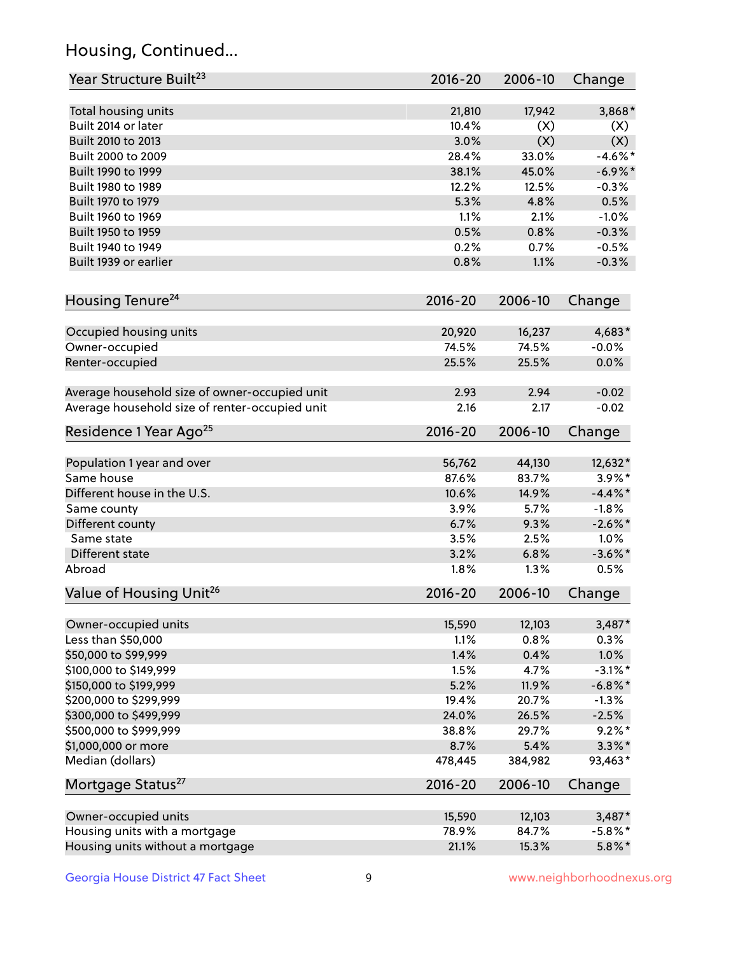## Housing, Continued...

| Year Structure Built <sup>23</sup>             | 2016-20     | 2006-10 | Change     |
|------------------------------------------------|-------------|---------|------------|
| Total housing units                            | 21,810      | 17,942  | 3,868*     |
| Built 2014 or later                            | 10.4%       | (X)     | (X)        |
| Built 2010 to 2013                             | 3.0%        | (X)     | (X)        |
| Built 2000 to 2009                             | 28.4%       | 33.0%   | $-4.6\%$ * |
| Built 1990 to 1999                             | 38.1%       | 45.0%   | $-6.9\%$ * |
| Built 1980 to 1989                             | 12.2%       | 12.5%   | $-0.3%$    |
| Built 1970 to 1979                             | 5.3%        | 4.8%    | 0.5%       |
| Built 1960 to 1969                             | 1.1%        | 2.1%    | $-1.0%$    |
| Built 1950 to 1959                             | 0.5%        | 0.8%    | $-0.3%$    |
| Built 1940 to 1949                             | 0.2%        | 0.7%    | $-0.5%$    |
| Built 1939 or earlier                          | 0.8%        | 1.1%    | $-0.3%$    |
| Housing Tenure <sup>24</sup>                   | $2016 - 20$ | 2006-10 | Change     |
| Occupied housing units                         | 20,920      | 16,237  | 4,683*     |
| Owner-occupied                                 | 74.5%       | 74.5%   | $-0.0%$    |
| Renter-occupied                                | 25.5%       | 25.5%   | 0.0%       |
| Average household size of owner-occupied unit  | 2.93        | 2.94    | $-0.02$    |
| Average household size of renter-occupied unit | 2.16        | 2.17    | $-0.02$    |
| Residence 1 Year Ago <sup>25</sup>             | $2016 - 20$ | 2006-10 | Change     |
| Population 1 year and over                     | 56,762      | 44,130  | 12,632*    |
| Same house                                     | 87.6%       | 83.7%   | $3.9\%$ *  |
| Different house in the U.S.                    | 10.6%       | 14.9%   | $-4.4\%$ * |
| Same county                                    | 3.9%        | 5.7%    | $-1.8%$    |
| Different county                               | 6.7%        | 9.3%    | $-2.6\%$ * |
| Same state                                     | 3.5%        | 2.5%    | 1.0%       |
| Different state                                | 3.2%        | 6.8%    | $-3.6\%$ * |
| Abroad                                         | 1.8%        | 1.3%    | 0.5%       |
| Value of Housing Unit <sup>26</sup>            | $2016 - 20$ | 2006-10 | Change     |
| Owner-occupied units                           | 15,590      | 12,103  | $3,487*$   |
| Less than \$50,000                             | 1.1%        | 0.8%    | 0.3%       |
| \$50,000 to \$99,999                           | 1.4%        | 0.4%    | 1.0%       |
| \$100,000 to \$149,999                         | 1.5%        | 4.7%    | $-3.1\%$ * |
| \$150,000 to \$199,999                         | 5.2%        | 11.9%   | $-6.8\%$ * |
| \$200,000 to \$299,999                         | 19.4%       | 20.7%   | $-1.3%$    |
| \$300,000 to \$499,999                         | 24.0%       | 26.5%   | $-2.5%$    |
| \$500,000 to \$999,999                         | 38.8%       | 29.7%   | $9.2\%$ *  |
| \$1,000,000 or more                            | 8.7%        | 5.4%    | $3.3\%*$   |
| Median (dollars)                               | 478,445     | 384,982 | 93,463*    |
| Mortgage Status <sup>27</sup>                  | $2016 - 20$ | 2006-10 | Change     |
| Owner-occupied units                           | 15,590      | 12,103  | $3,487*$   |
| Housing units with a mortgage                  | 78.9%       | 84.7%   | $-5.8\%$ * |
| Housing units without a mortgage               | 21.1%       | 15.3%   | $5.8\%$ *  |
|                                                |             |         |            |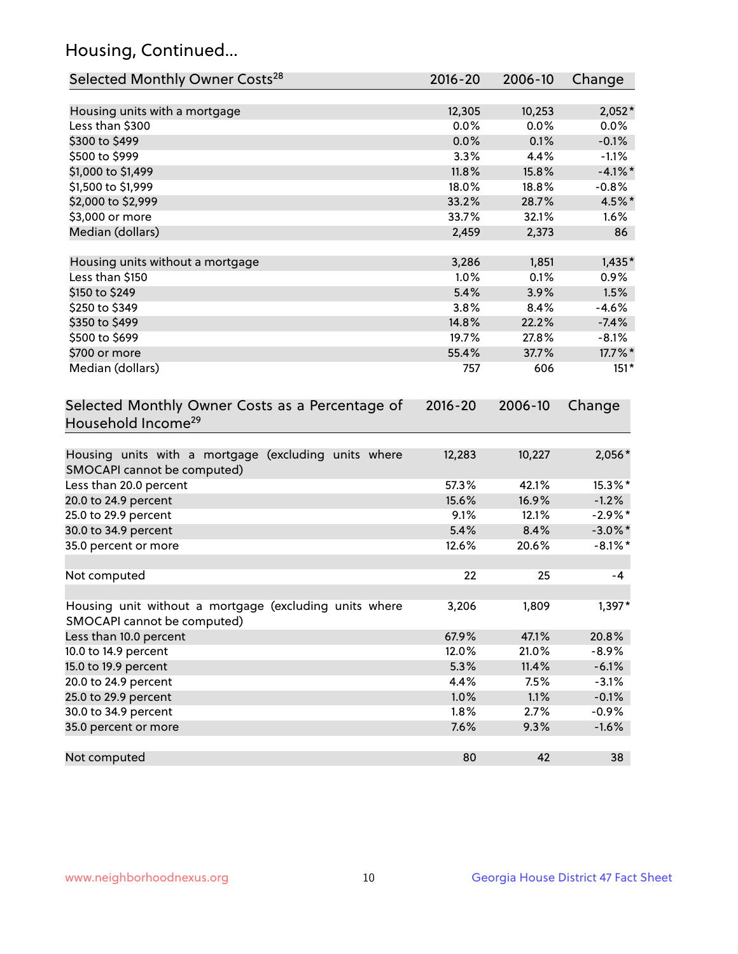## Housing, Continued...

| Selected Monthly Owner Costs <sup>28</sup>                                            | $2016 - 20$ | 2006-10 | Change     |
|---------------------------------------------------------------------------------------|-------------|---------|------------|
| Housing units with a mortgage                                                         | 12,305      | 10,253  | $2,052*$   |
| Less than \$300                                                                       | 0.0%        | 0.0%    | 0.0%       |
| \$300 to \$499                                                                        | 0.0%        | 0.1%    | $-0.1%$    |
| \$500 to \$999                                                                        | 3.3%        | 4.4%    | $-1.1%$    |
| \$1,000 to \$1,499                                                                    | 11.8%       | 15.8%   | $-4.1%$ *  |
| \$1,500 to \$1,999                                                                    | 18.0%       | 18.8%   | $-0.8%$    |
| \$2,000 to \$2,999                                                                    | 33.2%       | 28.7%   | 4.5%*      |
| \$3,000 or more                                                                       | 33.7%       | 32.1%   | 1.6%       |
| Median (dollars)                                                                      | 2,459       | 2,373   | 86         |
| Housing units without a mortgage                                                      | 3,286       | 1,851   | $1,435*$   |
| Less than \$150                                                                       | 1.0%        | 0.1%    | 0.9%       |
| \$150 to \$249                                                                        | 5.4%        | 3.9%    | 1.5%       |
| \$250 to \$349                                                                        | 3.8%        | 8.4%    | $-4.6%$    |
| \$350 to \$499                                                                        | 14.8%       | 22.2%   | $-7.4%$    |
| \$500 to \$699                                                                        | 19.7%       | 27.8%   | $-8.1%$    |
| \$700 or more                                                                         | 55.4%       | 37.7%   | 17.7%*     |
| Median (dollars)                                                                      | 757         | 606     | $151*$     |
| Selected Monthly Owner Costs as a Percentage of<br>Household Income <sup>29</sup>     | $2016 - 20$ | 2006-10 | Change     |
| Housing units with a mortgage (excluding units where<br>SMOCAPI cannot be computed)   | 12,283      | 10,227  | 2,056*     |
| Less than 20.0 percent                                                                | 57.3%       | 42.1%   | 15.3%*     |
| 20.0 to 24.9 percent                                                                  | 15.6%       | 16.9%   | $-1.2%$    |
| 25.0 to 29.9 percent                                                                  | 9.1%        | 12.1%   | $-2.9\%$ * |
| 30.0 to 34.9 percent                                                                  | 5.4%        | 8.4%    | $-3.0\%$ * |
| 35.0 percent or more                                                                  | 12.6%       | 20.6%   | $-8.1\%$ * |
| Not computed                                                                          | 22          | 25      | $-4$       |
| Housing unit without a mortgage (excluding units where<br>SMOCAPI cannot be computed) | 3,206       | 1,809   | 1,397*     |
| Less than 10.0 percent                                                                | 67.9%       | 47.1%   | 20.8%      |
| 10.0 to 14.9 percent                                                                  | 12.0%       | 21.0%   | $-8.9%$    |
| 15.0 to 19.9 percent                                                                  | 5.3%        | 11.4%   | $-6.1%$    |
| 20.0 to 24.9 percent                                                                  | 4.4%        | 7.5%    | $-3.1%$    |
| 25.0 to 29.9 percent                                                                  | 1.0%        | 1.1%    | $-0.1%$    |
| 30.0 to 34.9 percent                                                                  | 1.8%        | 2.7%    | $-0.9%$    |
| 35.0 percent or more                                                                  | 7.6%        | 9.3%    | $-1.6%$    |
| Not computed                                                                          | 80          | 42      | 38         |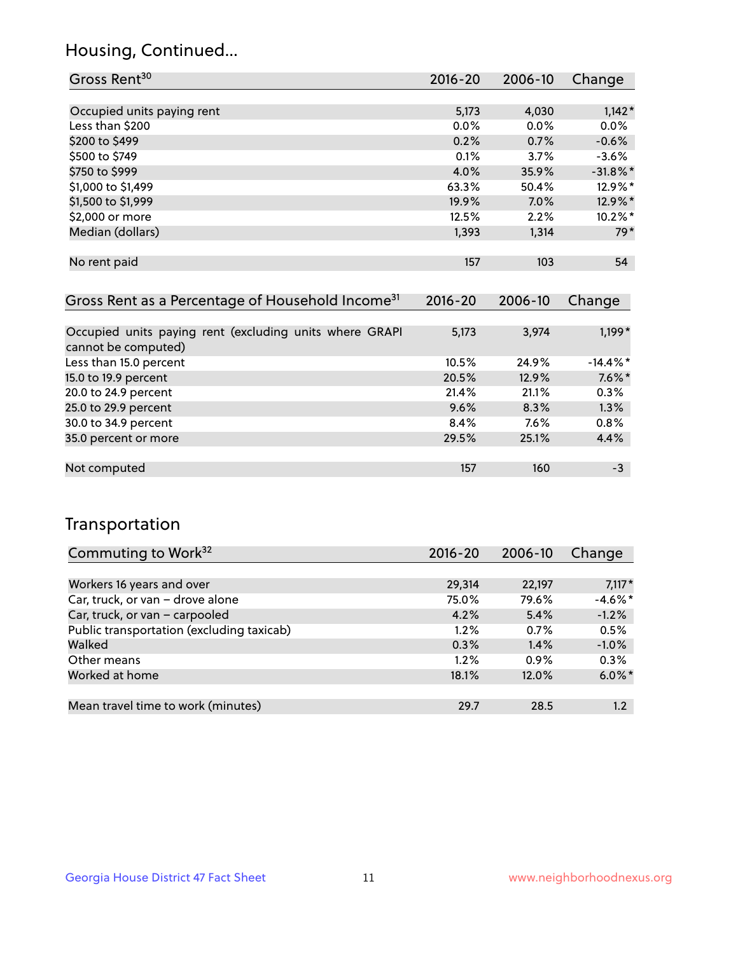## Housing, Continued...

| Gross Rent <sup>30</sup>   | 2016-20 | 2006-10 | Change      |
|----------------------------|---------|---------|-------------|
|                            |         |         |             |
| Occupied units paying rent | 5,173   | 4,030   | $1,142*$    |
| Less than \$200            | $0.0\%$ | $0.0\%$ | 0.0%        |
| \$200 to \$499             | 0.2%    | 0.7%    | $-0.6%$     |
| \$500 to \$749             | 0.1%    | 3.7%    | $-3.6%$     |
| \$750 to \$999             | 4.0%    | 35.9%   | $-31.8\%$ * |
| \$1,000 to \$1,499         | 63.3%   | 50.4%   | 12.9%*      |
| \$1,500 to \$1,999         | 19.9%   | 7.0%    | 12.9%*      |
| \$2,000 or more            | 12.5%   | 2.2%    | 10.2%*      |
| Median (dollars)           | 1,393   | 1,314   | 79*         |
|                            |         |         |             |
| No rent paid               | 157     | 103     | 54          |

| Gross Rent as a Percentage of Household Income <sup>31</sup>                   | $2016 - 20$ | 2006-10 | Change      |
|--------------------------------------------------------------------------------|-------------|---------|-------------|
|                                                                                |             |         |             |
| Occupied units paying rent (excluding units where GRAPI<br>cannot be computed) | 5,173       | 3,974   | $1,199*$    |
| Less than 15.0 percent                                                         | 10.5%       | 24.9%   | $-14.4\%$ * |
| 15.0 to 19.9 percent                                                           | 20.5%       | 12.9%   | $7.6\%$ *   |
| 20.0 to 24.9 percent                                                           | 21.4%       | 21.1%   | 0.3%        |
| 25.0 to 29.9 percent                                                           | 9.6%        | 8.3%    | 1.3%        |
| 30.0 to 34.9 percent                                                           | 8.4%        | $7.6\%$ | 0.8%        |
| 35.0 percent or more                                                           | 29.5%       | 25.1%   | 4.4%        |
|                                                                                |             |         |             |
| Not computed                                                                   | 157         | 160     | -3          |

## Transportation

| Commuting to Work <sup>32</sup>           | 2016-20 | 2006-10 | Change     |
|-------------------------------------------|---------|---------|------------|
|                                           |         |         |            |
| Workers 16 years and over                 | 29,314  | 22,197  | $7,117*$   |
| Car, truck, or van - drove alone          | 75.0%   | 79.6%   | $-4.6\%$ * |
| Car, truck, or van - carpooled            | 4.2%    | 5.4%    | $-1.2%$    |
| Public transportation (excluding taxicab) | 1.2%    | 0.7%    | 0.5%       |
| Walked                                    | 0.3%    | 1.4%    | $-1.0%$    |
| Other means                               | $1.2\%$ | $0.9\%$ | 0.3%       |
| Worked at home                            | 18.1%   | 12.0%   | $6.0\%$ *  |
|                                           |         |         |            |
| Mean travel time to work (minutes)        | 29.7    | 28.5    | $1.2\,$    |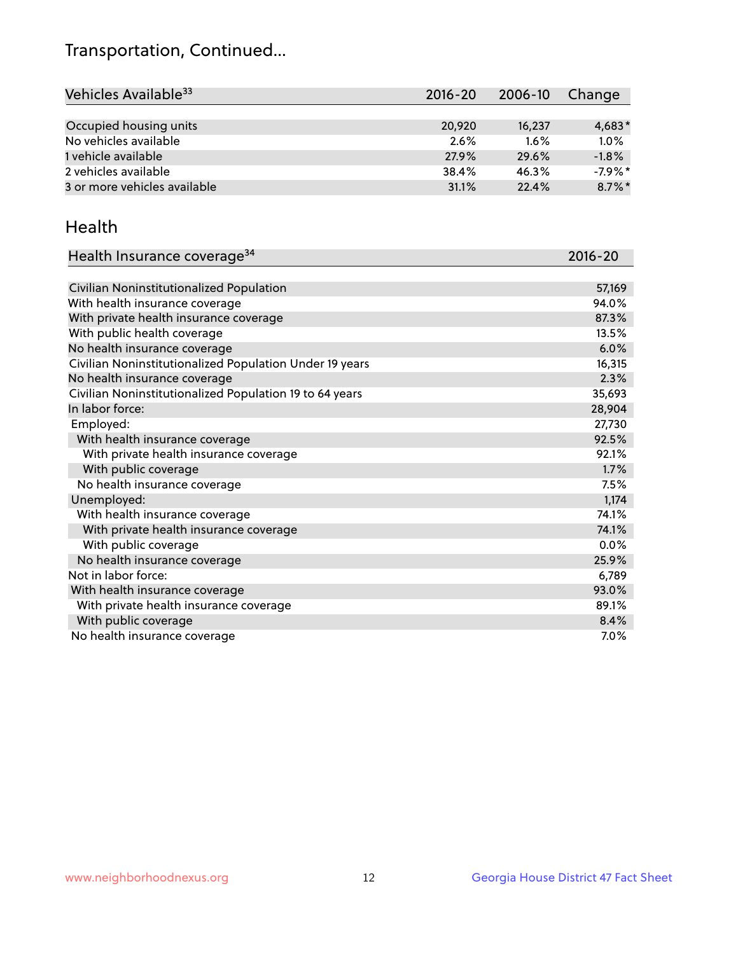## Transportation, Continued...

| Vehicles Available <sup>33</sup> | $2016 - 20$ | 2006-10 | Change    |
|----------------------------------|-------------|---------|-----------|
|                                  |             |         |           |
| Occupied housing units           | 20,920      | 16,237  | $4,683*$  |
| No vehicles available            | 2.6%        | $1.6\%$ | 1.0%      |
| 1 vehicle available              | 27.9%       | 29.6%   | $-1.8%$   |
| 2 vehicles available             | 38.4%       | 46.3%   | $-7.9%$ * |
| 3 or more vehicles available     | 31.1%       | 22.4%   | $8.7\%$ * |

#### Health

| Health Insurance coverage <sup>34</sup>                 | 2016-20 |
|---------------------------------------------------------|---------|
|                                                         |         |
| Civilian Noninstitutionalized Population                | 57,169  |
| With health insurance coverage                          | 94.0%   |
| With private health insurance coverage                  | 87.3%   |
| With public health coverage                             | 13.5%   |
| No health insurance coverage                            | 6.0%    |
| Civilian Noninstitutionalized Population Under 19 years | 16,315  |
| No health insurance coverage                            | 2.3%    |
| Civilian Noninstitutionalized Population 19 to 64 years | 35,693  |
| In labor force:                                         | 28,904  |
| Employed:                                               | 27,730  |
| With health insurance coverage                          | 92.5%   |
| With private health insurance coverage                  | 92.1%   |
| With public coverage                                    | 1.7%    |
| No health insurance coverage                            | 7.5%    |
| Unemployed:                                             | 1,174   |
| With health insurance coverage                          | 74.1%   |
| With private health insurance coverage                  | 74.1%   |
| With public coverage                                    | $0.0\%$ |
| No health insurance coverage                            | 25.9%   |
| Not in labor force:                                     | 6,789   |
| With health insurance coverage                          | 93.0%   |
| With private health insurance coverage                  | 89.1%   |
| With public coverage                                    | 8.4%    |
| No health insurance coverage                            | $7.0\%$ |